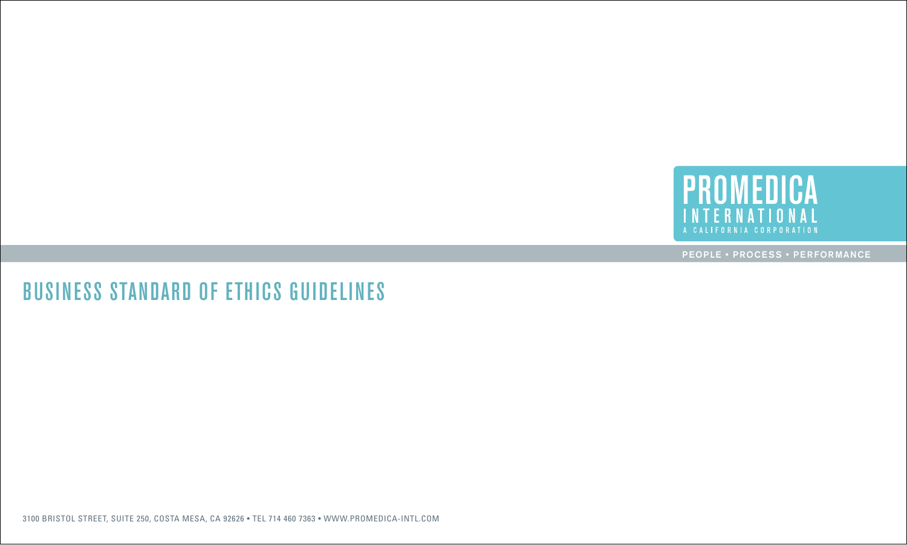

# business standard of ethics guidelines

3100 Bristol Street, Suite 250, Costa Mesa, CA 92626 • TEL 714 460 7363 • www.promedica-intl.com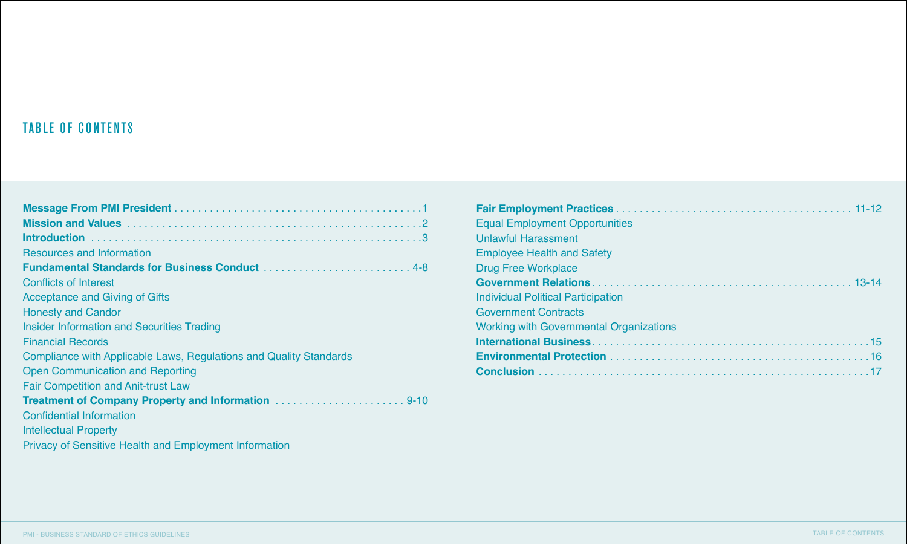### TABLE OF CONTENTS

| Resources and Information                                          |
|--------------------------------------------------------------------|
|                                                                    |
| <b>Conflicts of Interest</b>                                       |
| Acceptance and Giving of Gifts                                     |
| <b>Honesty and Candor</b>                                          |
| <b>Insider Information and Securities Trading</b>                  |
| <b>Financial Records</b>                                           |
| Compliance with Applicable Laws, Regulations and Quality Standards |
| <b>Open Communication and Reporting</b>                            |
| <b>Fair Competition and Anit-trust Law</b>                         |
|                                                                    |
| <b>Confidential Information</b>                                    |
| <b>Intellectual Property</b>                                       |
| <b>Privacy of Sensitive Health and Employment Information</b>      |

| <b>Equal Employment Opportunities</b>          |
|------------------------------------------------|
| <b>Unlawful Harassment</b>                     |
| <b>Employee Health and Safety</b>              |
| <b>Drug Free Workplace</b>                     |
|                                                |
| Individual Political Participation             |
| <b>Government Contracts</b>                    |
| <b>Working with Governmental Organizations</b> |
|                                                |
|                                                |
|                                                |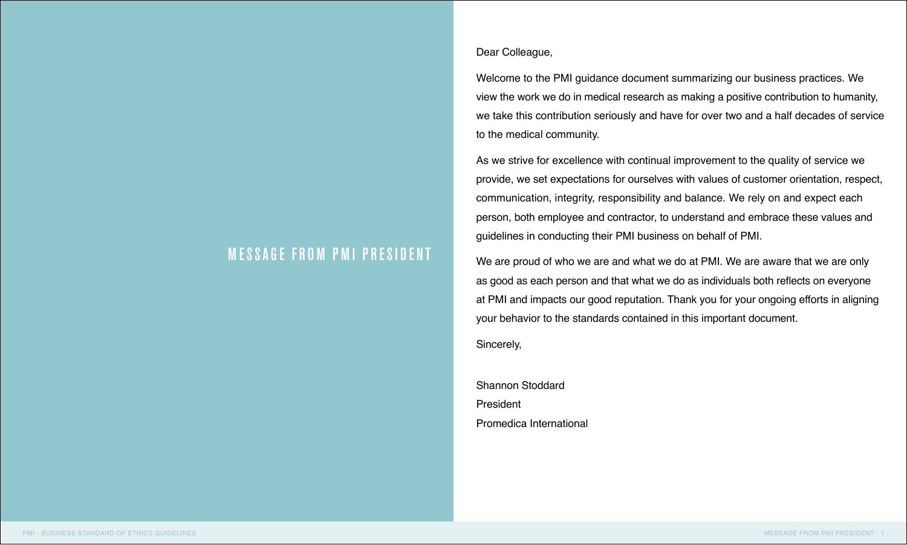### Dear Colleague,

Welcome to the PMI guidance document summarizing our business practices. We view the work we do in medical research as making a positive contribution to humanity, we take this contribution seriously and have for over two and a half decades of service to the medical community.

As we strive for excellence with continual improvement to the quality of service we provide, we set expectations for ourselves with values of customer orientation, respect, communication, integrity, responsibility and balance. We rely on and expect each person, both employee and contractor, to understand and embrace these values and guidelines in conducting their PMI business on behalf of PMI.

We are proud of who we are and what we do at PMI. We are aware that we are only as good as each person and that what we do as individuals both reflects on everyone at PMI and impacts our good reputation. Thank you for your ongoing efforts in aligning your behavior to the standards contained in this important document.

Sincerely,

Shannon Stoddard President Promedica International

## **MESSAGE FROM PMI PRESIDENT**

I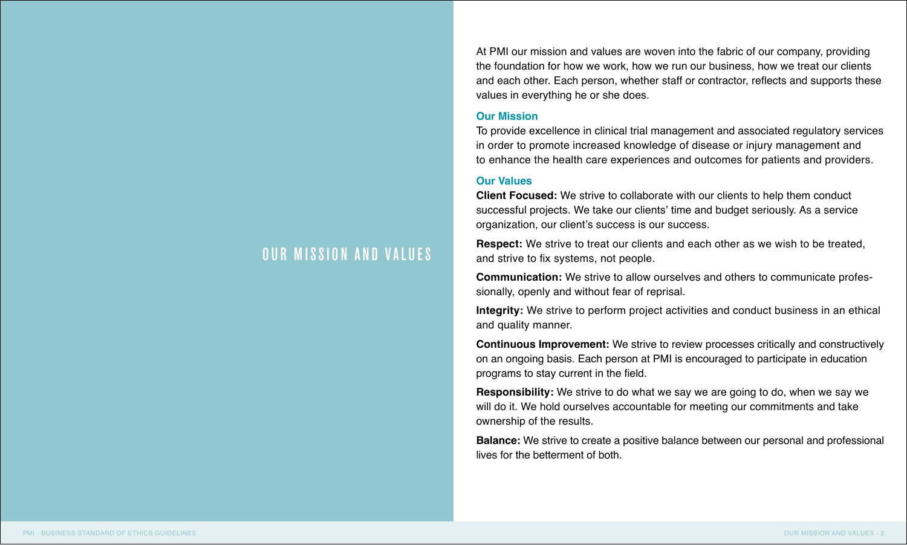At PMI our mission and values are woven into the fabric of our company, providing the foundation for how we work, how we run our business, how we treat our clients and each other. Each person, whether staff or contractor, reflects and supports these values in everything he or she does.

#### **Our Mission**

To provide excellence in clinical trial management and associated regulatory services in order to promote increased knowledge of disease or injury management and to enhance the health care experiences and outcomes for patients and providers.

### **Our Values**

**Client Focused:** We strive to collaborate with our clients to help them conduct successful projects. We take our clients' time and budget seriously. As a service organization, our client's success is our success.

**Respect:** We strive to treat our clients and each other as we wish to be treated, and strive to fix systems, not people.

**Communication:** We strive to allow ourselves and others to communicate professionally, openly and without fear of reprisal.

**Integrity:** We strive to perform project activities and conduct business in an ethical and quality manner.

**Continuous Improvement:** We strive to review processes critically and constructively on an ongoing basis. Each person at PMI is encouraged to participate in education programs to stay current in the field.

**Responsibility:** We strive to do what we say we are going to do, when we say we will do it. We hold ourselves accountable for meeting our commitments and take ownership of the results.

**Balance:** We strive to create a positive balance between our personal and professional lives for the betterment of both.

### OUR MISSION AND VALUES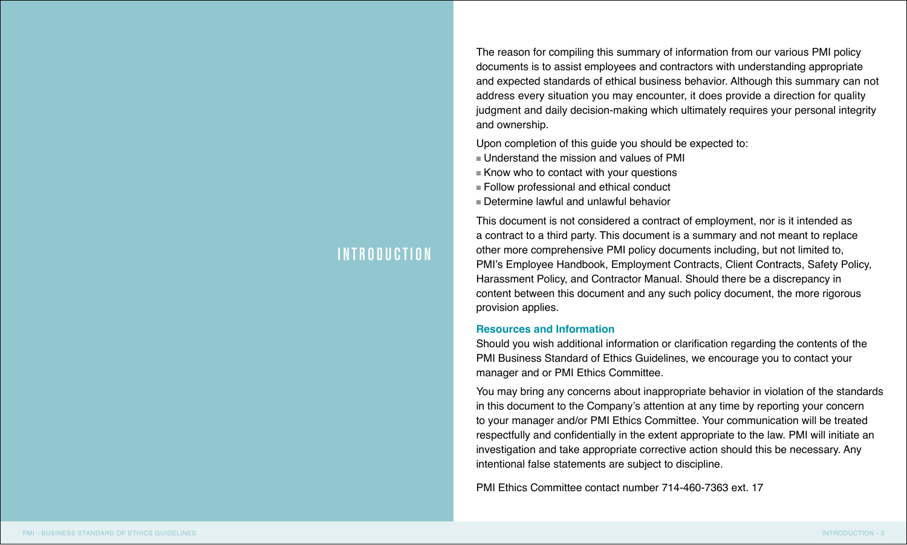The reason for compiling this summary of information from our various PMI policy documents is to assist employees and contractors with understanding appropriate and expected standards of ethical business behavior. Although this summary can not address every situation you may encounter, it does provide a direction for quality judgment and daily decision-making which ultimately requires your personal integrity and ownership.

Upon completion of this guide you should be expected to:

- $\blacksquare$  Understand the mission and values of PMI
- $\blacksquare$  Know who to contact with your questions
- $\blacksquare$  Follow professional and ethical conduct
- $n$  Determine lawful and unlawful behavior

This document is not considered a contract of employment, nor is it intended as a contract to a third party. This document is a summary and not meant to replace other more comprehensive PMI policy documents including, but not limited to, PMI's Employee Handbook, Employment Contracts, Client Contracts, Safety Policy, Harassment Policy, and Contractor Manual. Should there be a discrepancy in content between this document and any such policy document, the more rigorous provision applies.

#### **Resources and Information**

Should you wish additional information or clarification regarding the contents of the PMI Business Standard of Ethics Guidelines, we encourage you to contact your manager and or PMI Ethics Committee.

You may bring any concerns about inappropriate behavior in violation of the standards in this document to the Company's attention at any time by reporting your concern to your manager and/or PMI Ethics Committee. Your communication will be treated respectfully and confidentially in the extent appropriate to the law. PMI will initiate an investigation and take appropriate corrective action should this be necessary. Any intentional false statements are subject to discipline.

PMI Ethics Committee contact number 714-460-7363 ext. 17

### INTRODUCTION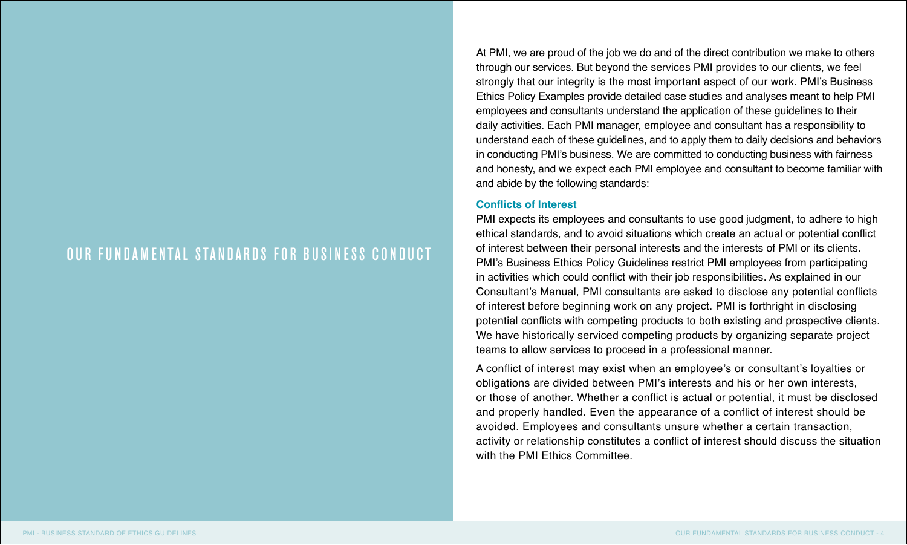### OUR FUNDAMENTAL STANDARDS FOR BUSINESS CONDUCT

At PMI, we are proud of the job we do and of the direct contribution we make to others through our services. But beyond the services PMI provides to our clients, we feel strongly that our integrity is the most important aspect of our work. PMI's Business Ethics Policy Examples provide detailed case studies and analyses meant to help PMI employees and consultants understand the application of these guidelines to their daily activities. Each PMI manager, employee and consultant has a responsibility to understand each of these guidelines, and to apply them to daily decisions and behaviors in conducting PMI's business. We are committed to conducting business with fairness and honesty, and we expect each PMI employee and consultant to become familiar with and abide by the following standards:

#### **Conflicts of Interest**

PMI expects its employees and consultants to use good judgment, to adhere to high ethical standards, and to avoid situations which create an actual or potential conflict of interest between their personal interests and the interests of PMI or its clients. PMI's Business Ethics Policy Guidelines restrict PMI employees from participating in activities which could conflict with their job responsibilities. As explained in our Consultant's Manual, PMI consultants are asked to disclose any potential conflicts of interest before beginning work on any project. PMI is forthright in disclosing potential conflicts with competing products to both existing and prospective clients. We have historically serviced competing products by organizing separate project teams to allow services to proceed in a professional manner.

A conflict of interest may exist when an employee's or consultant's loyalties or obligations are divided between PMI's interests and his or her own interests, or those of another. Whether a conflict is actual or potential, it must be disclosed and properly handled. Even the appearance of a conflict of interest should be avoided. Employees and consultants unsure whether a certain transaction, activity or relationship constitutes a conflict of interest should discuss the situation with the PMI Fthics Committee.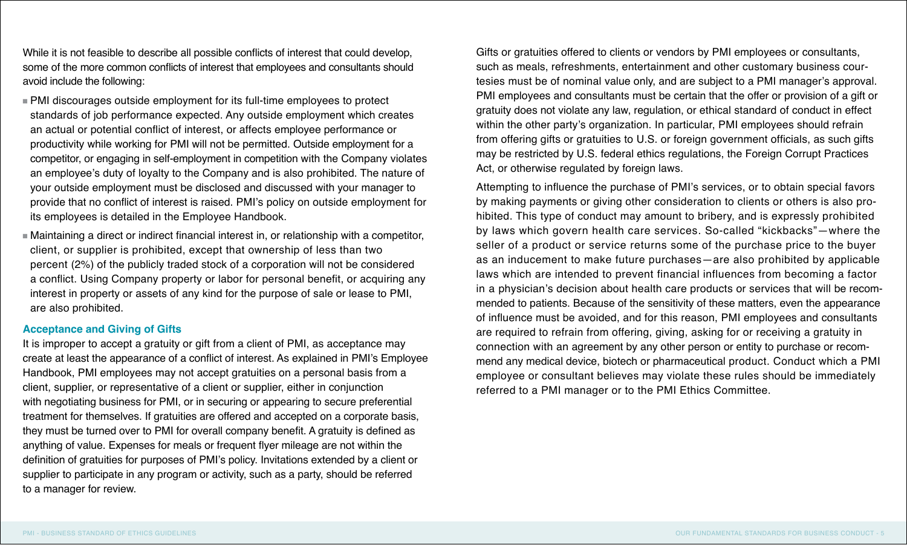While it is not feasible to describe all possible conflicts of interest that could develop, some of the more common conflicts of interest that employees and consultants should avoid include the following:

- $\blacksquare$  PMI discourages outside employment for its full-time employees to protect standards of job performance expected. Any outside employment which creates an actual or potential conflict of interest, or affects employee performance or productivity while working for PMI will not be permitted. Outside employment for a competitor, or engaging in self-employment in competition with the Company violates an employee's duty of loyalty to the Company and is also prohibited. The nature of your outside employment must be disclosed and discussed with your manager to provide that no conflict of interest is raised. PMI's policy on outside employment for its employees is detailed in the Employee Handbook.
- <sup>n</sup> Maintaining a direct or indirect financial interest in, or relationship with a competitor, client, or supplier is prohibited, except that ownership of less than two percent (2%) of the publicly traded stock of a corporation will not be considered a conflict. Using Company property or labor for personal benefit, or acquiring any interest in property or assets of any kind for the purpose of sale or lease to PMI, are also prohibited.

#### **Acceptance and Giving of Gifts**

It is improper to accept a gratuity or gift from a client of PMI, as acceptance may create at least the appearance of a conflict of interest. As explained in PMI's Employee Handbook, PMI employees may not accept gratuities on a personal basis from a client, supplier, or representative of a client or supplier, either in conjunction with negotiating business for PMI, or in securing or appearing to secure preferential treatment for themselves. If gratuities are offered and accepted on a corporate basis, they must be turned over to PMI for overall company benefit. A gratuity is defined as anything of value. Expenses for meals or frequent flyer mileage are not within the definition of gratuities for purposes of PMI's policy. Invitations extended by a client or supplier to participate in any program or activity, such as a party, should be referred to a manager for review.

Gifts or gratuities offered to clients or vendors by PMI employees or consultants, such as meals, refreshments, entertainment and other customary business courtesies must be of nominal value only, and are subject to a PMI manager's approval. PMI employees and consultants must be certain that the offer or provision of a gift or gratuity does not violate any law, regulation, or ethical standard of conduct in effect within the other party's organization. In particular, PMI employees should refrain from offering gifts or gratuities to U.S. or foreign government officials, as such gifts may be restricted by U.S. federal ethics regulations, the Foreign Corrupt Practices Act, or otherwise regulated by foreign laws.

Attempting to influence the purchase of PMI's services, or to obtain special favors by making payments or giving other consideration to clients or others is also prohibited. This type of conduct may amount to bribery, and is expressly prohibited by laws which govern health care services. So-called "kickbacks"—where the seller of a product or service returns some of the purchase price to the buyer as an inducement to make future purchases—are also prohibited by applicable laws which are intended to prevent financial influences from becoming a factor in a physician's decision about health care products or services that will be recommended to patients. Because of the sensitivity of these matters, even the appearance of influence must be avoided, and for this reason, PMI employees and consultants are required to refrain from offering, giving, asking for or receiving a gratuity in connection with an agreement by any other person or entity to purchase or recommend any medical device, biotech or pharmaceutical product. Conduct which a PMI employee or consultant believes may violate these rules should be immediately referred to a PMI manager or to the PMI Ethics Committee.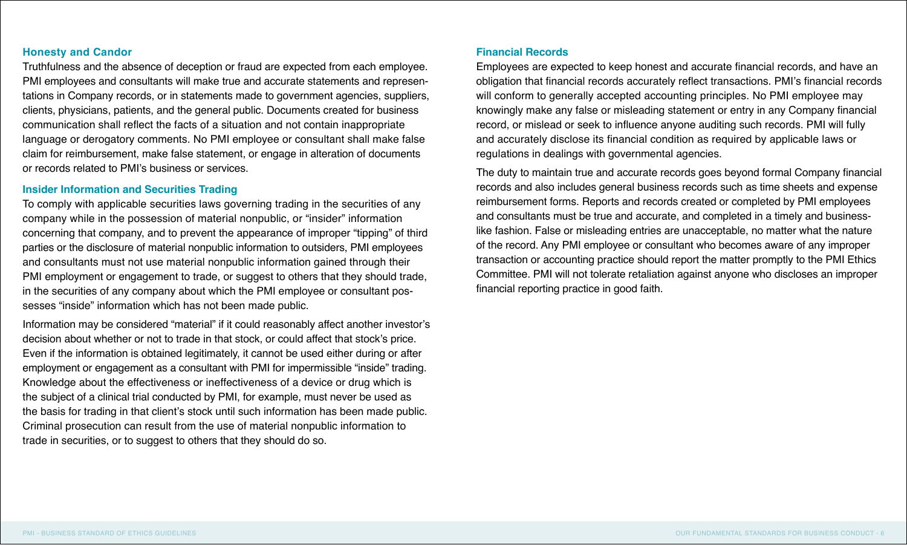### **Honesty and Candor**

Truthfulness and the absence of deception or fraud are expected from each employee. PMI employees and consultants will make true and accurate statements and representations in Company records, or in statements made to government agencies, suppliers, clients, physicians, patients, and the general public. Documents created for business communication shall reflect the facts of a situation and not contain inappropriate language or derogatory comments. No PMI employee or consultant shall make false claim for reimbursement, make false statement, or engage in alteration of documents or records related to PMI's business or services.

### **Insider Information and Securities Trading**

To comply with applicable securities laws governing trading in the securities of any company while in the possession of material nonpublic, or "insider" information concerning that company, and to prevent the appearance of improper "tipping" of third parties or the disclosure of material nonpublic information to outsiders, PMI employees and consultants must not use material nonpublic information gained through their PMI employment or engagement to trade, or suggest to others that they should trade, in the securities of any company about which the PMI employee or consultant possesses "inside" information which has not been made public.

Information may be considered "material" if it could reasonably affect another investor's decision about whether or not to trade in that stock, or could affect that stock's price. Even if the information is obtained legitimately, it cannot be used either during or after employment or engagement as a consultant with PMI for impermissible "inside" trading. Knowledge about the effectiveness or ineffectiveness of a device or drug which is the subject of a clinical trial conducted by PMI, for example, must never be used as the basis for trading in that client's stock until such information has been made public. Criminal prosecution can result from the use of material nonpublic information to trade in securities, or to suggest to others that they should do so.

#### **Financial Records**

Employees are expected to keep honest and accurate financial records, and have an obligation that financial records accurately reflect transactions. PMI's financial records will conform to generally accepted accounting principles. No PMI employee may knowingly make any false or misleading statement or entry in any Company financial record, or mislead or seek to influence anyone auditing such records. PMI will fully and accurately disclose its financial condition as required by applicable laws or regulations in dealings with governmental agencies.

The duty to maintain true and accurate records goes beyond formal Company financial records and also includes general business records such as time sheets and expense reimbursement forms. Reports and records created or completed by PMI employees and consultants must be true and accurate, and completed in a timely and businesslike fashion. False or misleading entries are unacceptable, no matter what the nature of the record. Any PMI employee or consultant who becomes aware of any improper transaction or accounting practice should report the matter promptly to the PMI Ethics Committee. PMI will not tolerate retaliation against anyone who discloses an improper financial reporting practice in good faith.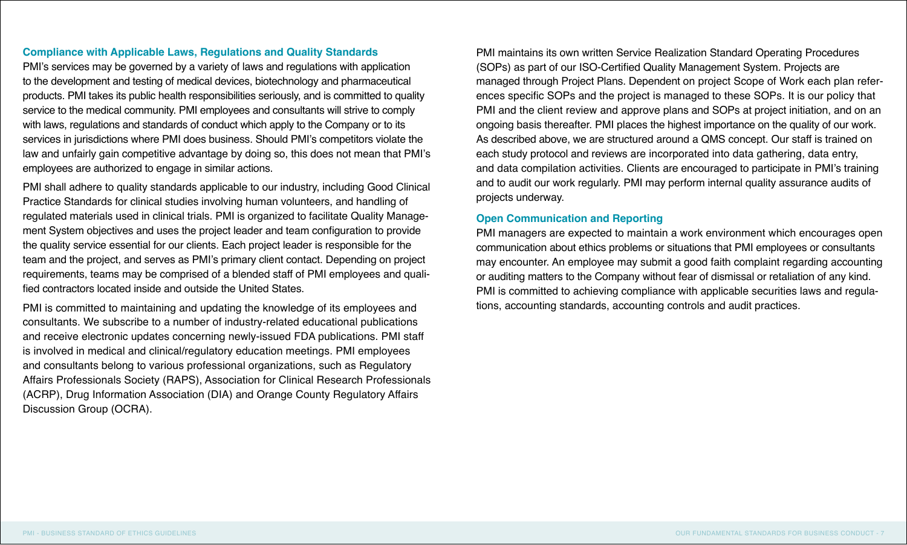### **Compliance with Applicable Laws, Regulations and Quality Standards**

PMI's services may be governed by a variety of laws and regulations with application to the development and testing of medical devices, biotechnology and pharmaceutical products. PMI takes its public health responsibilities seriously, and is committed to quality service to the medical community. PMI employees and consultants will strive to comply with laws, regulations and standards of conduct which apply to the Company or to its services in jurisdictions where PMI does business. Should PMI's competitors violate the law and unfairly gain competitive advantage by doing so, this does not mean that PMI's employees are authorized to engage in similar actions.

PMI shall adhere to quality standards applicable to our industry, including Good Clinical Practice Standards for clinical studies involving human volunteers, and handling of regulated materials used in clinical trials. PMI is organized to facilitate Quality Management System objectives and uses the project leader and team configuration to provide the quality service essential for our clients. Each project leader is responsible for the team and the project, and serves as PMI's primary client contact. Depending on project requirements, teams may be comprised of a blended staff of PMI employees and qualified contractors located inside and outside the United States.

PMI is committed to maintaining and updating the knowledge of its employees and consultants. We subscribe to a number of industry-related educational publications and receive electronic updates concerning newly-issued FDA publications. PMI staff is involved in medical and clinical/regulatory education meetings. PMI employees and consultants belong to various professional organizations, such as Regulatory Affairs Professionals Society (RAPS), Association for Clinical Research Professionals (ACRP), Drug Information Association (DIA) and Orange County Regulatory Affairs Discussion Group (OCRA).

PMI maintains its own written Service Realization Standard Operating Procedures (SOPs) as part of our ISO-Certified Quality Management System. Projects are managed through Project Plans. Dependent on project Scope of Work each plan references specific SOPs and the project is managed to these SOPs. It is our policy that PMI and the client review and approve plans and SOPs at project initiation, and on an ongoing basis thereafter. PMI places the highest importance on the quality of our work. As described above, we are structured around a QMS concept. Our staff is trained on each study protocol and reviews are incorporated into data gathering, data entry, and data compilation activities. Clients are encouraged to participate in PMI's training and to audit our work regularly. PMI may perform internal quality assurance audits of projects underway.

### **Open Communication and Reporting**

PMI managers are expected to maintain a work environment which encourages open communication about ethics problems or situations that PMI employees or consultants may encounter. An employee may submit a good faith complaint regarding accounting or auditing matters to the Company without fear of dismissal or retaliation of any kind. PMI is committed to achieving compliance with applicable securities laws and regulations, accounting standards, accounting controls and audit practices.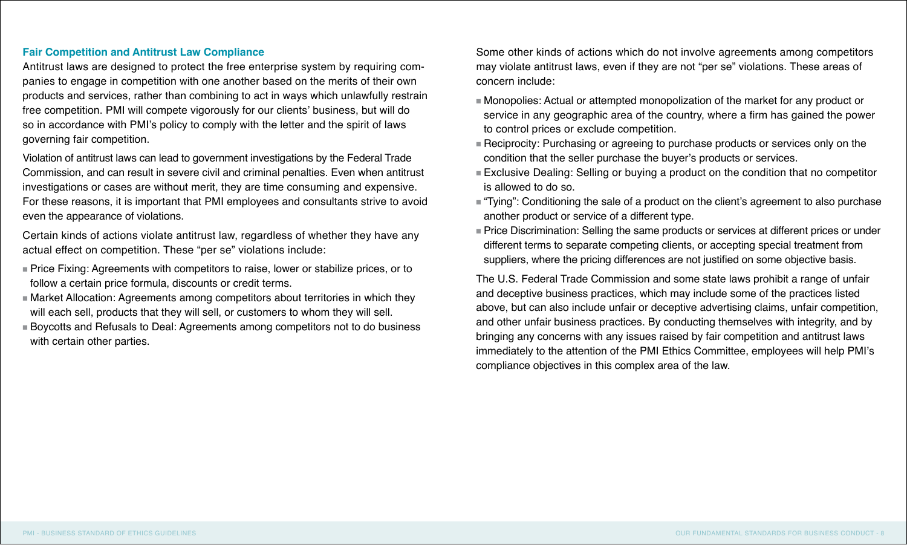### **Fair Competition and Antitrust Law Compliance**

Antitrust laws are designed to protect the free enterprise system by requiring companies to engage in competition with one another based on the merits of their own products and services, rather than combining to act in ways which unlawfully restrain free competition. PMI will compete vigorously for our clients' business, but will do so in accordance with PMI's policy to comply with the letter and the spirit of laws governing fair competition.

Violation of antitrust laws can lead to government investigations by the Federal Trade Commission, and can result in severe civil and criminal penalties. Even when antitrust investigations or cases are without merit, they are time consuming and expensive. For these reasons, it is important that PMI employees and consultants strive to avoid even the appearance of violations.

Certain kinds of actions violate antitrust law, regardless of whether they have any actual effect on competition. These "per se" violations include:

- <sup>n</sup> Price Fixing: Agreements with competitors to raise, lower or stabilize prices, or to follow a certain price formula, discounts or credit terms.
- <sup>n</sup> Market Allocation: Agreements among competitors about territories in which they will each sell, products that they will sell, or customers to whom they will sell.
- <sup>n</sup> Boycotts and Refusals to Deal: Agreements among competitors not to do business with certain other parties.

Some other kinds of actions which do not involve agreements among competitors may violate antitrust laws, even if they are not "per se" violations. These areas of concern include:

- $\blacksquare$  Monopolies: Actual or attempted monopolization of the market for any product or service in any geographic area of the country, where a firm has gained the power to control prices or exclude competition.
- <sup>n</sup> Reciprocity: Purchasing or agreeing to purchase products or services only on the condition that the seller purchase the buyer's products or services.
- <sup>n</sup> Exclusive Dealing: Selling or buying a product on the condition that no competitor is allowed to do so.
- <sup>n</sup> "Tying": Conditioning the sale of a product on the client's agreement to also purchase another product or service of a different type.
- <sup>n</sup> Price Discrimination: Selling the same products or services at different prices or under different terms to separate competing clients, or accepting special treatment from suppliers, where the pricing differences are not justified on some objective basis.

The U.S. Federal Trade Commission and some state laws prohibit a range of unfair and deceptive business practices, which may include some of the practices listed above, but can also include unfair or deceptive advertising claims, unfair competition, and other unfair business practices. By conducting themselves with integrity, and by bringing any concerns with any issues raised by fair competition and antitrust laws immediately to the attention of the PMI Ethics Committee, employees will help PMI's compliance objectives in this complex area of the law.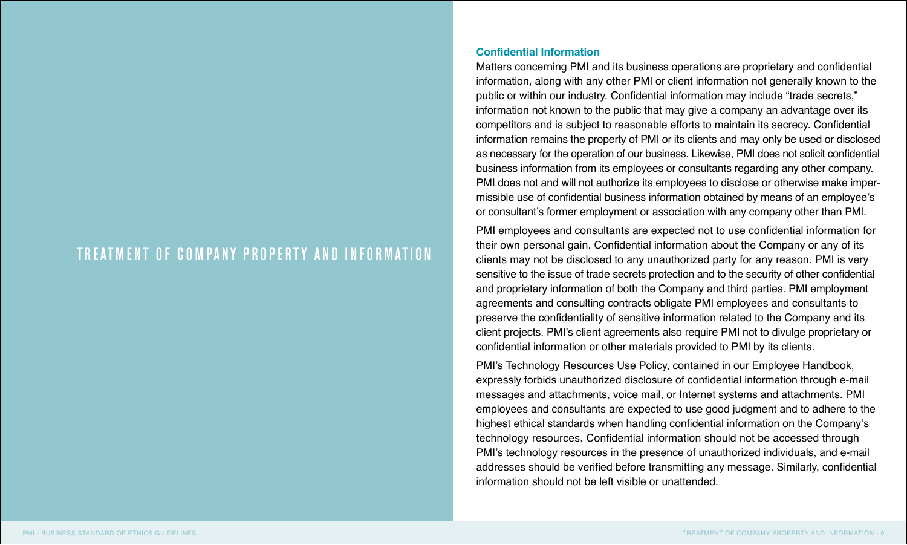### TREATMENT OF COMPANY PROPERTY AND INFORMATION

### **Confidential Information**

Matters concerning PMI and its business operations are proprietary and confidential information, along with any other PMI or client information not generally known to the public or within our industry. Confidential information may include "trade secrets," information not known to the public that may give a company an advantage over its competitors and is subject to reasonable efforts to maintain its secrecy. Confidential information remains the property of PMI or its clients and may only be used or disclosed as necessary for the operation of our business. Likewise, PMI does not solicit confidential business information from its employees or consultants regarding any other company. PMI does not and will not authorize its employees to disclose or otherwise make impermissible use of confidential business information obtained by means of an employee's or consultant's former employment or association with any company other than PMI.

PMI employees and consultants are expected not to use confidential information for their own personal gain. Confidential information about the Company or any of its clients may not be disclosed to any unauthorized party for any reason. PMI is very sensitive to the issue of trade secrets protection and to the security of other confidential and proprietary information of both the Company and third parties. PMI employment agreements and consulting contracts obligate PMI employees and consultants to preserve the confidentiality of sensitive information related to the Company and its client projects. PMI's client agreements also require PMI not to divulge proprietary or confidential information or other materials provided to PMI by its clients.

PMI's Technology Resources Use Policy, contained in our Employee Handbook, expressly forbids unauthorized disclosure of confidential information through e-mail messages and attachments, voice mail, or Internet systems and attachments. PMI employees and consultants are expected to use good judgment and to adhere to the highest ethical standards when handling confidential information on the Company's technology resources. Confidential information should not be accessed through PMI's technology resources in the presence of unauthorized individuals, and e-mail addresses should be verified before transmitting any message. Similarly, confidential information should not be left visible or unattended.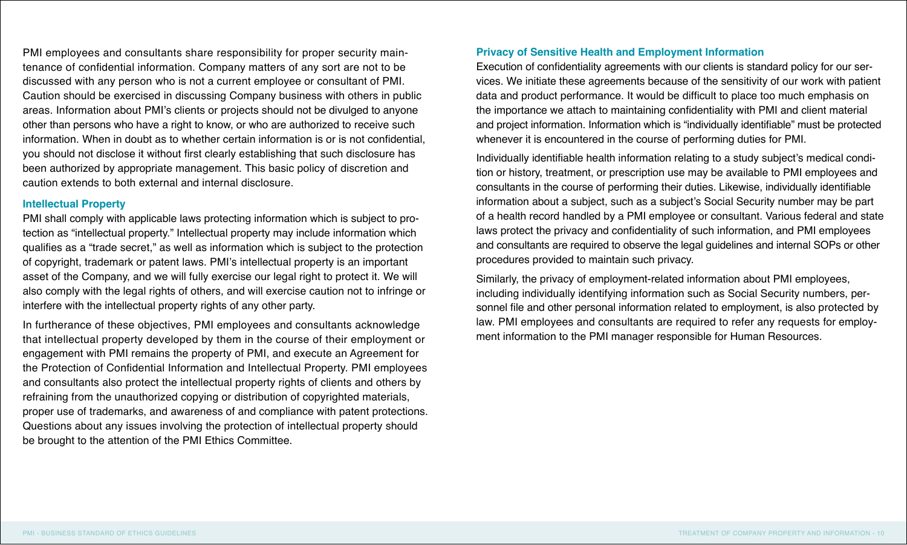PMI employees and consultants share responsibility for proper security maintenance of confidential information. Company matters of any sort are not to be discussed with any person who is not a current employee or consultant of PMI. Caution should be exercised in discussing Company business with others in public areas. Information about PMI's clients or projects should not be divulged to anyone other than persons who have a right to know, or who are authorized to receive such information. When in doubt as to whether certain information is or is not confidential, you should not disclose it without first clearly establishing that such disclosure has been authorized by appropriate management. This basic policy of discretion and caution extends to both external and internal disclosure.

### **Intellectual Property**

PMI shall comply with applicable laws protecting information which is subject to protection as "intellectual property." Intellectual property may include information which qualifies as a "trade secret," as well as information which is subject to the protection of copyright, trademark or patent laws. PMI's intellectual property is an important asset of the Company, and we will fully exercise our legal right to protect it. We will also comply with the legal rights of others, and will exercise caution not to infringe or interfere with the intellectual property rights of any other party.

In furtherance of these objectives, PMI employees and consultants acknowledge that intellectual property developed by them in the course of their employment or engagement with PMI remains the property of PMI, and execute an Agreement for the Protection of Confidential Information and Intellectual Property. PMI employees and consultants also protect the intellectual property rights of clients and others by refraining from the unauthorized copying or distribution of copyrighted materials, proper use of trademarks, and awareness of and compliance with patent protections. Questions about any issues involving the protection of intellectual property should be brought to the attention of the PMI Ethics Committee.

### **Privacy of Sensitive Health and Employment Information**

Execution of confidentiality agreements with our clients is standard policy for our services. We initiate these agreements because of the sensitivity of our work with patient data and product performance. It would be difficult to place too much emphasis on the importance we attach to maintaining confidentiality with PMI and client material and project information. Information which is "individually identifiable" must be protected whenever it is encountered in the course of performing duties for PMI.

Individually identifiable health information relating to a study subject's medical condition or history, treatment, or prescription use may be available to PMI employees and consultants in the course of performing their duties. Likewise, individually identifiable information about a subject, such as a subject's Social Security number may be part of a health record handled by a PMI employee or consultant. Various federal and state laws protect the privacy and confidentiality of such information, and PMI employees and consultants are required to observe the legal guidelines and internal SOPs or other procedures provided to maintain such privacy.

Similarly, the privacy of employment-related information about PMI employees, including individually identifying information such as Social Security numbers, personnel file and other personal information related to employment, is also protected by law. PMI employees and consultants are required to refer any requests for employment information to the PMI manager responsible for Human Resources.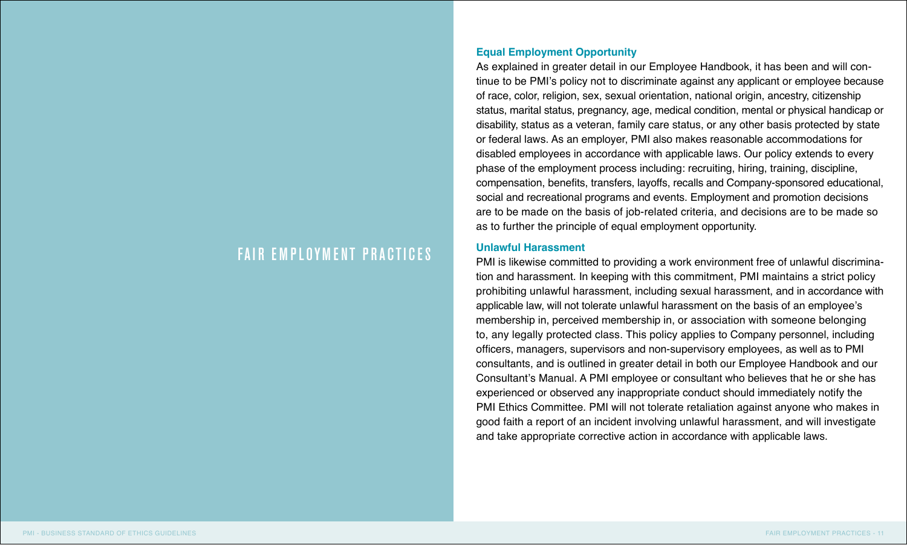### FAIR EMPLOYMENT PRACTICES

### **Equal Employment Opportunity**

As explained in greater detail in our Employee Handbook, it has been and will continue to be PMI's policy not to discriminate against any applicant or employee because of race, color, religion, sex, sexual orientation, national origin, ancestry, citizenship status, marital status, pregnancy, age, medical condition, mental or physical handicap or disability, status as a veteran, family care status, or any other basis protected by state or federal laws. As an employer, PMI also makes reasonable accommodations for disabled employees in accordance with applicable laws. Our policy extends to every phase of the employment process including: recruiting, hiring, training, discipline, compensation, benefits, transfers, layoffs, recalls and Company-sponsored educational, social and recreational programs and events. Employment and promotion decisions are to be made on the basis of job-related criteria, and decisions are to be made so as to further the principle of equal employment opportunity.

#### **Unlawful Harassment**

PMI is likewise committed to providing a work environment free of unlawful discrimination and harassment. In keeping with this commitment, PMI maintains a strict policy prohibiting unlawful harassment, including sexual harassment, and in accordance with applicable law, will not tolerate unlawful harassment on the basis of an employee's membership in, perceived membership in, or association with someone belonging to, any legally protected class. This policy applies to Company personnel, including officers, managers, supervisors and non-supervisory employees, as well as to PMI consultants, and is outlined in greater detail in both our Employee Handbook and our Consultant's Manual. A PMI employee or consultant who believes that he or she has experienced or observed any inappropriate conduct should immediately notify the PMI Ethics Committee. PMI will not tolerate retaliation against anyone who makes in good faith a report of an incident involving unlawful harassment, and will investigate and take appropriate corrective action in accordance with applicable laws.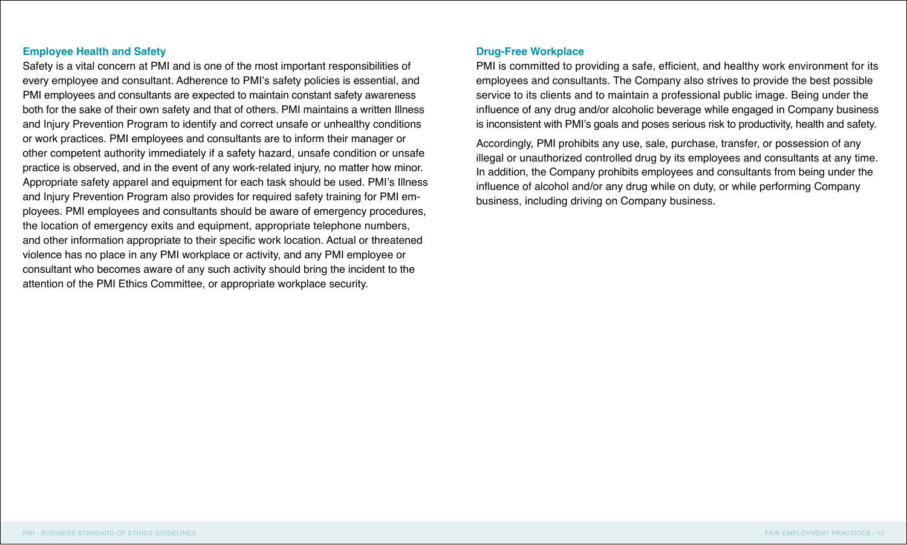### **Employee Health and Safety**

Safety is a vital concern at PMI and is one of the most important responsibilities of every employee and consultant. Adherence to PMI's safety policies is essential, and PMI employees and consultants are expected to maintain constant safety awareness both for the sake of their own safety and that of others. PMI maintains a written Illness and Injury Prevention Program to identify and correct unsafe or unhealthy conditions or work practices. PMI employees and consultants are to inform their manager or other competent authority immediately if a safety hazard, unsafe condition or unsafe practice is observed, and in the event of any work-related injury, no matter how minor. Appropriate safety apparel and equipment for each task should be used. PMI's Illness and Injury Prevention Program also provides for required safety training for PMI employees. PMI employees and consultants should be aware of emergency procedures, the location of emergency exits and equipment, appropriate telephone numbers, and other information appropriate to their specific work location. Actual or threatened violence has no place in any PMI workplace or activity, and any PMI employee or consultant who becomes aware of any such activity should bring the incident to the attention of the PMI Ethics Committee, or appropriate workplace security.

### **Drug-Free Workplace**

PMI is committed to providing a safe, efficient, and healthy work environment for its employees and consultants. The Company also strives to provide the best possible service to its clients and to maintain a professional public image. Being under the influence of any drug and/or alcoholic beverage while engaged in Company business is inconsistent with PMI's goals and poses serious risk to productivity, health and safety.

Accordingly, PMI prohibits any use, sale, purchase, transfer, or possession of any illegal or unauthorized controlled drug by its employees and consultants at any time. In addition, the Company prohibits employees and consultants from being under the influence of alcohol and/or any drug while on duty, or while performing Company business, including driving on Company business.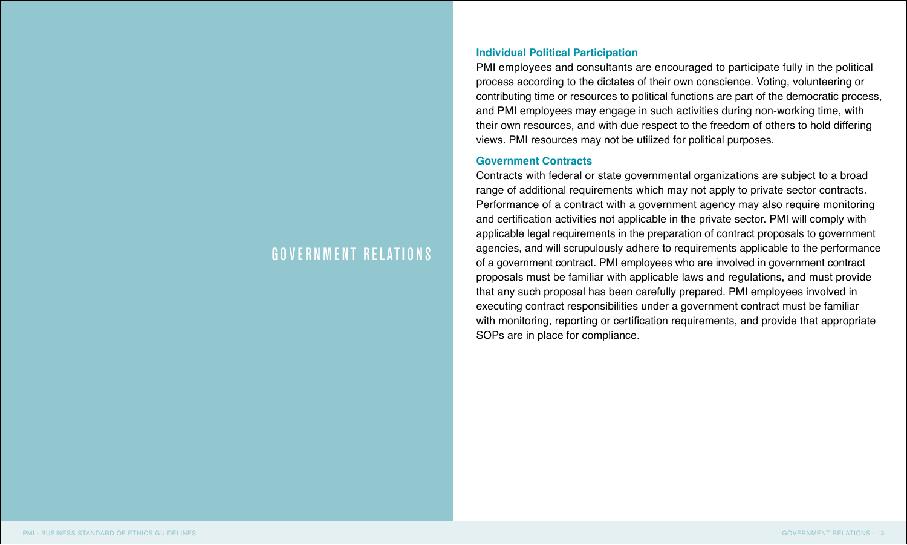### GOVERNMENT RELATIONS

### **Individual Political Participation**

PMI employees and consultants are encouraged to participate fully in the political process according to the dictates of their own conscience. Voting, volunteering or contributing time or resources to political functions are part of the democratic process, and PMI employees may engage in such activities during non-working time, with their own resources, and with due respect to the freedom of others to hold differing views. PMI resources may not be utilized for political purposes.

#### **Government Contracts**

Contracts with federal or state governmental organizations are subject to a broad range of additional requirements which may not apply to private sector contracts. Performance of a contract with a government agency may also require monitoring and certification activities not applicable in the private sector. PMI will comply with applicable legal requirements in the preparation of contract proposals to government agencies, and will scrupulously adhere to requirements applicable to the performance of a government contract. PMI employees who are involved in government contract proposals must be familiar with applicable laws and regulations, and must provide that any such proposal has been carefully prepared. PMI employees involved in executing contract responsibilities under a government contract must be familiar with monitoring, reporting or certification requirements, and provide that appropriate SOPs are in place for compliance.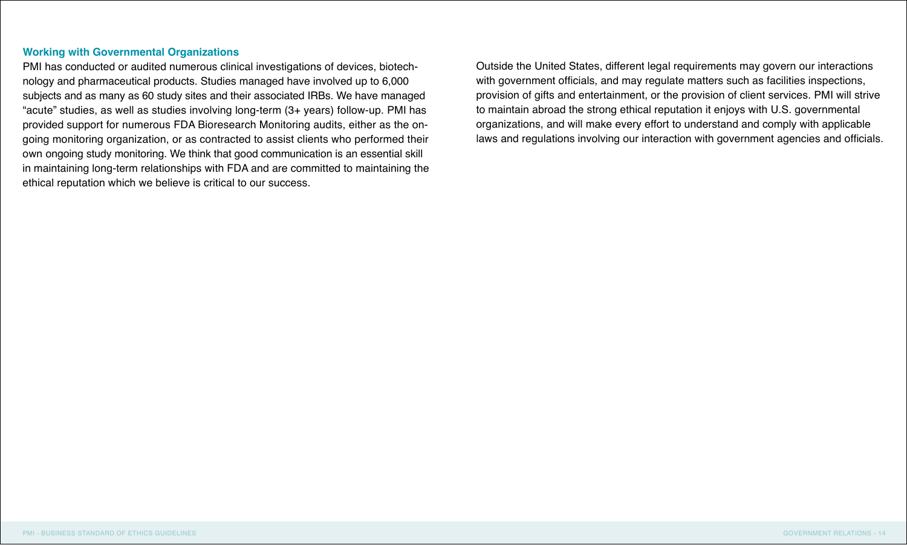### **Working with Governmental Organizations**

PMI has conducted or audited numerous clinical investigations of devices, biotechnology and pharmaceutical products. Studies managed have involved up to 6,000 subjects and as many as 60 study sites and their associated IRBs. We have managed "acute" studies, as well as studies involving long-term (3+ years) follow-up. PMI has provided support for numerous FDA Bioresearch Monitoring audits, either as the ongoing monitoring organization, or as contracted to assist clients who performed their own ongoing study monitoring. We think that good communication is an essential skill in maintaining long-term relationships with FDA and are committed to maintaining the ethical reputation which we believe is critical to our success.

Outside the United States, different legal requirements may govern our interactions with government officials, and may regulate matters such as facilities inspections, provision of gifts and entertainment, or the provision of client services. PMI will strive to maintain abroad the strong ethical reputation it enjoys with U.S. governmental organizations, and will make every effort to understand and comply with applicable laws and regulations involving our interaction with government agencies and officials.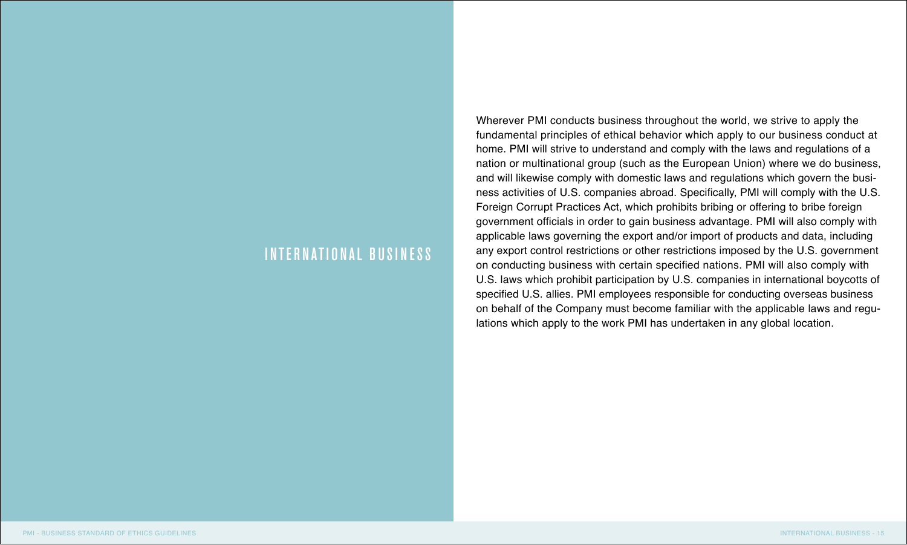### INTERNATIONAL BUSINESS

Wherever PMI conducts business throughout the world, we strive to apply the fundamental principles of ethical behavior which apply to our business conduct at home. PMI will strive to understand and comply with the laws and regulations of a nation or multinational group (such as the European Union) where we do business, and will likewise comply with domestic laws and regulations which govern the business activities of U.S. companies abroad. Specifically, PMI will comply with the U.S. Foreign Corrupt Practices Act, which prohibits bribing or offering to bribe foreign government officials in order to gain business advantage. PMI will also comply with applicable laws governing the export and/or import of products and data, including any export control restrictions or other restrictions imposed by the U.S. government on conducting business with certain specified nations. PMI will also comply with U.S. laws which prohibit participation by U.S. companies in international boycotts of specified U.S. allies. PMI employees responsible for conducting overseas business on behalf of the Company must become familiar with the applicable laws and regulations which apply to the work PMI has undertaken in any global location.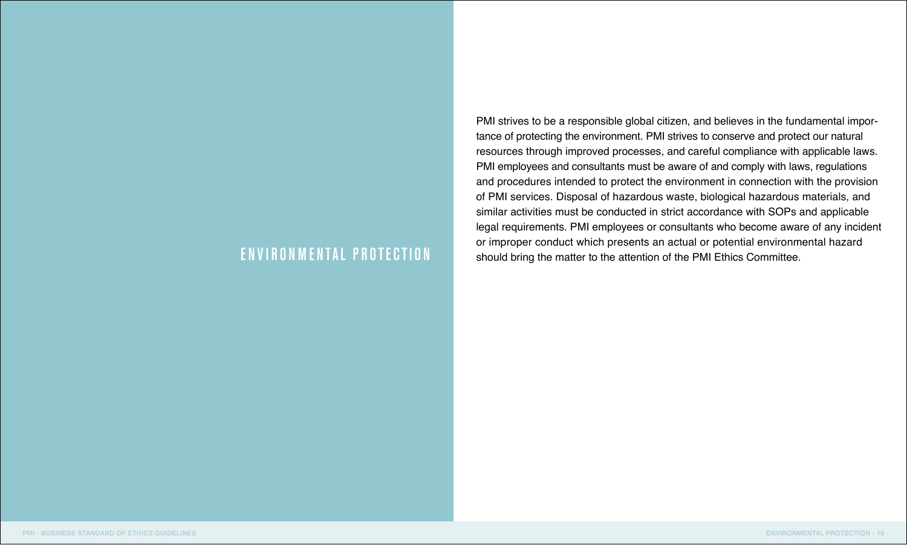PMI strives to be a responsible global citizen, and believes in the fundamental importance of protecting the environment. PMI strives to conserve and protect our natural resources through improved processes, and careful compliance with applicable laws. PMI employees and consultants must be aware of and comply with laws, regulations and procedures intended to protect the environment in connection with the provision of PMI services. Disposal of hazardous waste, biological hazardous materials, and similar activities must be conducted in strict accordance with SOPs and applicable legal requirements. PMI employees or consultants who become aware of any incident or improper conduct which presents an actual or potential environmental hazard ENVIRONMENTAL PROTECTION should bring the matter to the attention of the PMI Ethics Committee.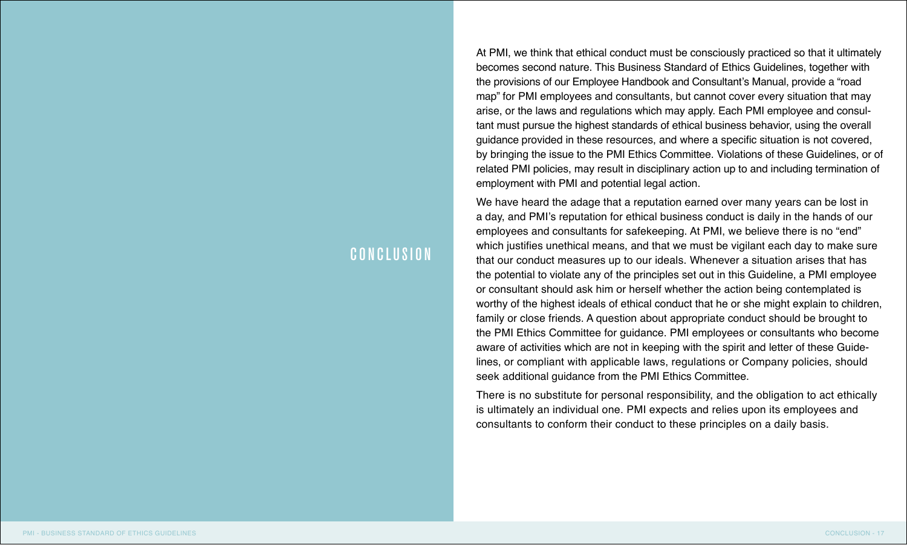### CONCLUSION

At PMI, we think that ethical conduct must be consciously practiced so that it ultimately becomes second nature. This Business Standard of Ethics Guidelines, together with the provisions of our Employee Handbook and Consultant's Manual, provide a "road map" for PMI employees and consultants, but cannot cover every situation that may arise, or the laws and regulations which may apply. Each PMI employee and consultant must pursue the highest standards of ethical business behavior, using the overall guidance provided in these resources, and where a specific situation is not covered, by bringing the issue to the PMI Ethics Committee. Violations of these Guidelines, or of related PMI policies, may result in disciplinary action up to and including termination of employment with PMI and potential legal action.

We have heard the adage that a reputation earned over many years can be lost in a day, and PMI's reputation for ethical business conduct is daily in the hands of our employees and consultants for safekeeping. At PMI, we believe there is no "end" which justifies unethical means, and that we must be vigilant each day to make sure that our conduct measures up to our ideals. Whenever a situation arises that has the potential to violate any of the principles set out in this Guideline, a PMI employee or consultant should ask him or herself whether the action being contemplated is worthy of the highest ideals of ethical conduct that he or she might explain to children, family or close friends. A question about appropriate conduct should be brought to the PMI Ethics Committee for guidance. PMI employees or consultants who become aware of activities which are not in keeping with the spirit and letter of these Guidelines, or compliant with applicable laws, regulations or Company policies, should seek additional guidance from the PMI Ethics Committee.

There is no substitute for personal responsibility, and the obligation to act ethically is ultimately an individual one. PMI expects and relies upon its employees and consultants to conform their conduct to these principles on a daily basis.